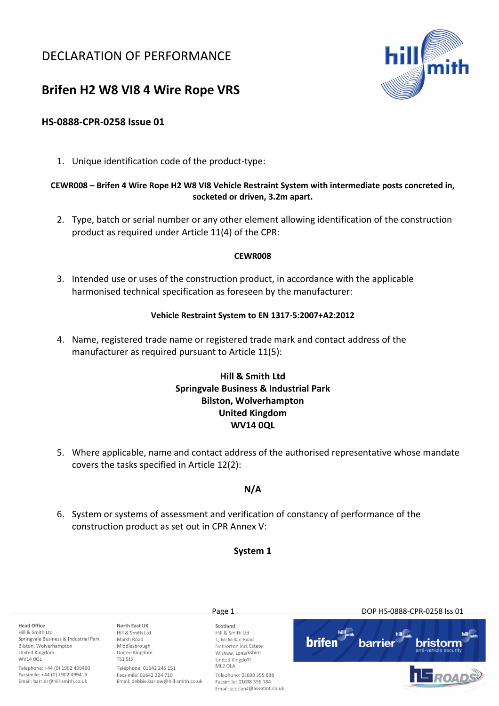## DECLARATION OF PERFORMANCE



# Brifen H2 W8 VI8 4 Wire Rope VRS

## HS-0888-CPR-0258 Issue 01

1. Unique identification code of the product-type:

### CEWR008 – Brifen 4 Wire Rope H2 W8 VI8 Vehicle Restraint System with intermediate posts concreted in, socketed or driven, 3.2m apart.

2. Type, batch or serial number or any other element allowing identification of the construction product as required under Article 11(4) of the CPR:

#### CEWR008

3. Intended use or uses of the construction product, in accordance with the applicable harmonised technical specification as foreseen by the manufacturer:

#### Vehicle Restraint System to EN 1317-5:2007+A2:2012

4. Name, registered trade name or registered trade mark and contact address of the manufacturer as required pursuant to Article 11(5):

## Hill & Smith Ltd Springvale Business & Industrial Park Bilston, Wolverhampton United Kingdom WV14 0QL

5. Where applicable, name and contact address of the authorised representative whose mandate covers the tasks specified in Article 12(2):

### N/A

6. System or systems of assessment and verification of constancy of performance of the construction product as set out in CPR Annex V:

#### System 1

Page 1 DOP HS-0888-CPR-0258 Iss 01 Head Office North East UK Scotland Hill & Smith Ltd Hill & Smith Ltd Hill & Smith Ltd Springvale Business & Industrial Park Marsh Road 1, McMillan Road **brifen** bristorn narriel Bilston, Wolverhampton Middlesbrough Netherton Ind. Estate United Kingdom United Kingdom Wishaw, Lanarkshire WV14 00L TS1 5JS United Kingdom ML2 OLA Telephone: +44 (0) 1902 499400 Telephone: 01642 245 151 Facsimile: +44 (0) 1902 499419 Facsimile: 01642 224 710 Telephone: 01698 355 838 Email: barrier@hill-smith.co.uk Email: debbie.barlow@hill-smith.co.uk Facsimile: 01698 356 184 Email: scotland@assetint.co.uk